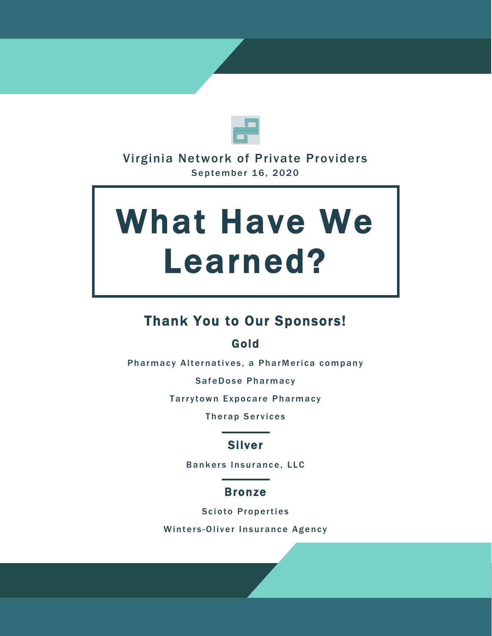

## Virginia Network of Private Providers September 16, 2020

# What Have We Learned?

# Thank You to Our Sponsors!

## Gold

Pharmacy Alternatives, a PharMerica company

SafeDose Pharmacy

Tarrytown Expocare Pharmacy

**Therap Services** 

## Silver

Bankers Insurance, LLC

## Bronze

Scioto Properties

Winters-Oliver Insurance Agency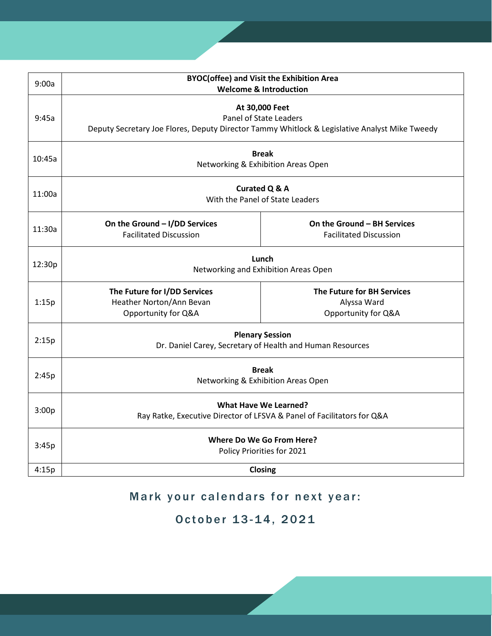| 9:00a  | <b>BYOC(offee) and Visit the Exhibition Area</b><br><b>Welcome &amp; Introduction</b>                                                     |                                                                  |
|--------|-------------------------------------------------------------------------------------------------------------------------------------------|------------------------------------------------------------------|
| 9:45a  | At 30,000 Feet<br>Panel of State Leaders<br>Deputy Secretary Joe Flores, Deputy Director Tammy Whitlock & Legislative Analyst Mike Tweedy |                                                                  |
| 10:45a | <b>Break</b><br>Networking & Exhibition Areas Open                                                                                        |                                                                  |
| 11:00a | <b>Curated Q &amp; A</b><br>With the Panel of State Leaders                                                                               |                                                                  |
| 11:30a | On the Ground - I/DD Services<br><b>Facilitated Discussion</b>                                                                            | On the Ground - BH Services<br><b>Facilitated Discussion</b>     |
| 12:30p | Lunch<br>Networking and Exhibition Areas Open                                                                                             |                                                                  |
| 1:15p  | The Future for I/DD Services<br>Heather Norton/Ann Bevan<br>Opportunity for Q&A                                                           | The Future for BH Services<br>Alyssa Ward<br>Opportunity for Q&A |
| 2:15p  | <b>Plenary Session</b><br>Dr. Daniel Carey, Secretary of Health and Human Resources                                                       |                                                                  |
| 2:45p  | <b>Break</b><br>Networking & Exhibition Areas Open                                                                                        |                                                                  |
| 3:00p  | <b>What Have We Learned?</b><br>Ray Ratke, Executive Director of LFSVA & Panel of Facilitators for Q&A                                    |                                                                  |
| 3:45p  | Where Do We Go From Here?<br>Policy Priorities for 2021                                                                                   |                                                                  |
| 4:15p  | Closing                                                                                                                                   |                                                                  |

## Mark your calendars for next year:

## October 13-14, 2021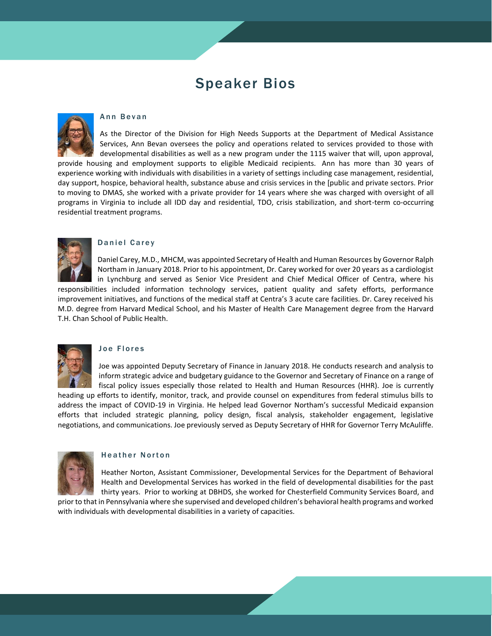## Speaker Bios



#### Ann Bevan

As the Director of the Division for High Needs Supports at the Department of Medical Assistance Services, Ann Bevan oversees the policy and operations related to services provided to those with developmental disabilities as well as a new program under the 1115 waiver that will, upon approval, provide housing and employment supports to eligible Medicaid recipients. Ann has more than 30 years of experience working with individuals with disabilities in a variety of settings including case management, residential, day support, hospice, behavioral health, substance abuse and crisis services in the [public and private sectors. Prior to moving to DMAS, she worked with a private provider for 14 years where she was charged with oversight of all programs in Virginia to include all IDD day and residential, TDO, crisis stabilization, and short-term co-occurring residential treatment programs.



#### Daniel Carey

Daniel Carey, M.D., MHCM, was appointed Secretary of Health and Human Resources by Governor Ralph Northam in January 2018. Prior to his appointment, Dr. Carey worked for over 20 years as a cardiologist in Lynchburg and served as Senior Vice President and Chief Medical Officer of Centra, where his

responsibilities included information technology services, patient quality and safety efforts, performance improvement initiatives, and functions of the medical staff at Centra's 3 acute care facilities. Dr. Carey received his M.D. degree from Harvard Medical School, and his Master of Health Care Management degree from the Harvard T.H. Chan School of Public Health.



#### Joe Flores

Joe was appointed Deputy Secretary of Finance in January 2018. He conducts research and analysis to inform strategic advice and budgetary guidance to the Governor and Secretary of Finance on a range of fiscal policy issues especially those related to Health and Human Resources (HHR). Joe is currently

heading up efforts to identify, monitor, track, and provide counsel on expenditures from federal stimulus bills to address the impact of COVID-19 in Virginia. He helped lead Governor Northam's successful Medicaid expansion efforts that included strategic planning, policy design, fiscal analysis, stakeholder engagement, legislative negotiations, and communications. Joe previously served as Deputy Secretary of HHR for Governor Terry McAuliffe.



#### Heather Norton

Heather Norton, Assistant Commissioner, Developmental Services for the Department of Behavioral Health and Developmental Services has worked in the field of developmental disabilities for the past thirty years. Prior to working at DBHDS, she worked for Chesterfield Community Services Board, and

prior to that in Pennsylvania where she supervised and developed children's behavioral health programs and worked with individuals with developmental disabilities in a variety of capacities.